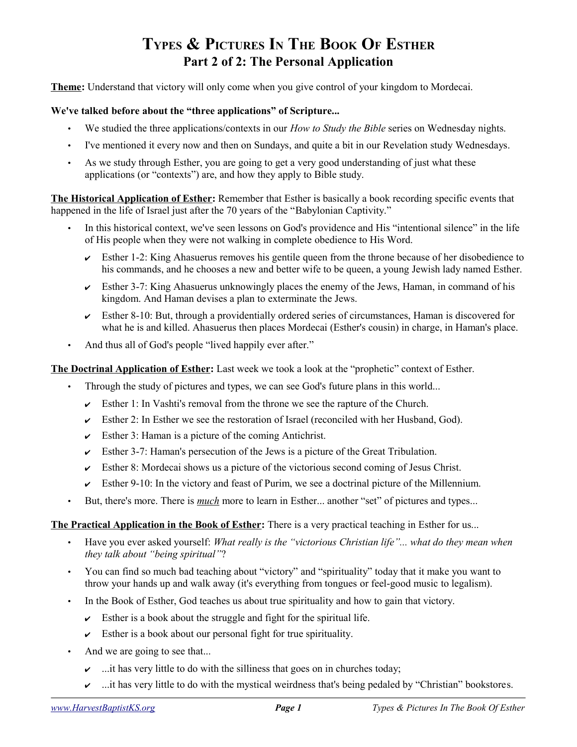# **TYPES & PICTURES IN THE BOOK OF ESTHER Part 2 of 2: The Personal Application**

**Theme:** Understand that victory will only come when you give control of your kingdom to Mordecai.

#### **We've talked before about the "three applications" of Scripture...**

- We studied the three applications/contexts in our *How to Study the Bible* series on Wednesday nights.
- I've mentioned it every now and then on Sundays, and quite a bit in our Revelation study Wednesdays.
- As we study through Esther, you are going to get a very good understanding of just what these applications (or "contexts") are, and how they apply to Bible study.

**The Historical Application of Esther:** Remember that Esther is basically a book recording specific events that happened in the life of Israel just after the 70 years of the "Babylonian Captivity."

- In this historical context, we've seen lessons on God's providence and His "intentional silence" in the life of His people when they were not walking in complete obedience to His Word.
	- $\triangleright$  Esther 1-2: King Ahasuerus removes his gentile queen from the throne because of her disobedience to his commands, and he chooses a new and better wife to be queen, a young Jewish lady named Esther.
	- $\triangleright$  Esther 3-7: King Ahasuerus unknowingly places the enemy of the Jews, Haman, in command of his kingdom. And Haman devises a plan to exterminate the Jews.
	- $\sim$  Esther 8-10: But, through a providentially ordered series of circumstances, Haman is discovered for what he is and killed. Ahasuerus then places Mordecai (Esther's cousin) in charge, in Haman's place.
- And thus all of God's people "lived happily ever after."

#### **The Doctrinal Application of Esther:** Last week we took a look at the "prophetic" context of Esther.

- Through the study of pictures and types, we can see God's future plans in this world...
	- $\triangleright$  Esther 1: In Vashti's removal from the throne we see the rapture of the Church.
	- $\triangleright$  Esther 2: In Esther we see the restoration of Israel (reconciled with her Husband, God).
	- $\triangleright$  Esther 3: Haman is a picture of the coming Antichrist.
	- $\triangleright$  Esther 3-7: Haman's persecution of the Jews is a picture of the Great Tribulation.
	- $\triangleright$  Esther 8: Mordecai shows us a picture of the victorious second coming of Jesus Christ.
	- Esther 9-10: In the victory and feast of Purim, we see a doctrinal picture of the Millennium.
- But, there's more. There is *much* more to learn in Esther... another "set" of pictures and types...

#### **The Practical Application in the Book of Esther:** There is a very practical teaching in Esther for us...

- Have you ever asked yourself: *What really is the "victorious Christian life"... what do they mean when they talk about "being spiritual"*?
- You can find so much bad teaching about "victory" and "spirituality" today that it make you want to throw your hands up and walk away (it's everything from tongues or feel-good music to legalism).
- In the Book of Esther, God teaches us about true spirituality and how to gain that victory.
	- $\triangleright$  Esther is a book about the struggle and fight for the spiritual life.
	- $\triangleright$  Esther is a book about our personal fight for true spirituality.
- And we are going to see that...
	- $\sim$  ...it has very little to do with the silliness that goes on in churches today;
	- $\sim$  ...it has very little to do with the mystical weirdness that's being pedaled by "Christian" bookstores.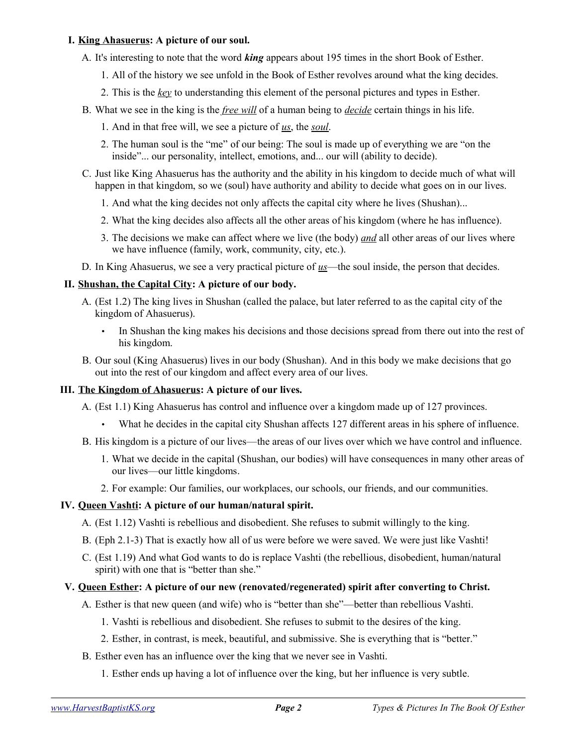#### **I. King Ahasuerus: A picture of our soul.**

- A. It's interesting to note that the word *king* appears about 195 times in the short Book of Esther.
	- 1. All of the history we see unfold in the Book of Esther revolves around what the king decides.
	- 2. This is the *key* to understanding this element of the personal pictures and types in Esther.
- B. What we see in the king is the *free will* of a human being to *decide* certain things in his life.
	- 1. And in that free will, we see a picture of *us*, the *soul*.
	- 2. The human soul is the "me" of our being: The soul is made up of everything we are "on the inside"... our personality, intellect, emotions, and... our will (ability to decide).
- C. Just like King Ahasuerus has the authority and the ability in his kingdom to decide much of what will happen in that kingdom, so we (soul) have authority and ability to decide what goes on in our lives.
	- 1. And what the king decides not only affects the capital city where he lives (Shushan)...
	- 2. What the king decides also affects all the other areas of his kingdom (where he has influence).
	- 3. The decisions we make can affect where we live (the body) *and* all other areas of our lives where we have influence (family, work, community, city, etc.).
- D. In King Ahasuerus, we see a very practical picture of *us*—the soul inside, the person that decides.

# **II. Shushan, the Capital City: A picture of our body.**

- A. (Est 1.2) The king lives in Shushan (called the palace, but later referred to as the capital city of the kingdom of Ahasuerus).
	- In Shushan the king makes his decisions and those decisions spread from there out into the rest of his kingdom.
- B. Our soul (King Ahasuerus) lives in our body (Shushan). And in this body we make decisions that go out into the rest of our kingdom and affect every area of our lives.

# **III. The Kingdom of Ahasuerus: A picture of our lives.**

- A. (Est 1.1) King Ahasuerus has control and influence over a kingdom made up of 127 provinces.
	- What he decides in the capital city Shushan affects 127 different areas in his sphere of influence.
- B. His kingdom is a picture of our lives—the areas of our lives over which we have control and influence.
	- 1. What we decide in the capital (Shushan, our bodies) will have consequences in many other areas of our lives—our little kingdoms.
	- 2. For example: Our families, our workplaces, our schools, our friends, and our communities.

#### **IV. Queen Vashti: A picture of our human/natural spirit.**

- A. (Est 1.12) Vashti is rebellious and disobedient. She refuses to submit willingly to the king.
- B. (Eph 2.1-3) That is exactly how all of us were before we were saved. We were just like Vashti!
- C. (Est 1.19) And what God wants to do is replace Vashti (the rebellious, disobedient, human/natural spirit) with one that is "better than she."

# **V. Queen Esther: A picture of our new (renovated/regenerated) spirit after converting to Christ.**

- A. Esther is that new queen (and wife) who is "better than she"—better than rebellious Vashti.
	- 1. Vashti is rebellious and disobedient. She refuses to submit to the desires of the king.
	- 2. Esther, in contrast, is meek, beautiful, and submissive. She is everything that is "better."
- B. Esther even has an influence over the king that we never see in Vashti.
	- 1. Esther ends up having a lot of influence over the king, but her influence is very subtle.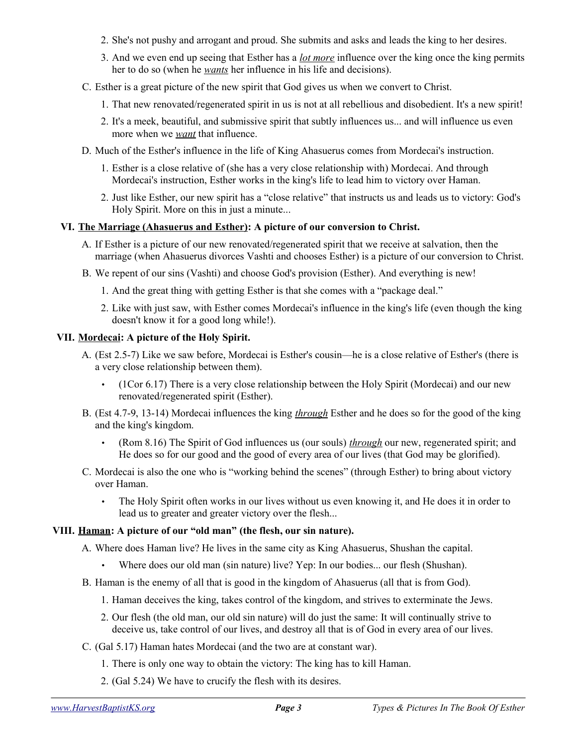- 2. She's not pushy and arrogant and proud. She submits and asks and leads the king to her desires.
- 3. And we even end up seeing that Esther has a *lot more* influence over the king once the king permits her to do so (when he *wants* her influence in his life and decisions).
- C. Esther is a great picture of the new spirit that God gives us when we convert to Christ.
	- 1. That new renovated/regenerated spirit in us is not at all rebellious and disobedient. It's a new spirit!
	- 2. It's a meek, beautiful, and submissive spirit that subtly influences us... and will influence us even more when we *want* that influence.
- D. Much of the Esther's influence in the life of King Ahasuerus comes from Mordecai's instruction.
	- 1. Esther is a close relative of (she has a very close relationship with) Mordecai. And through Mordecai's instruction, Esther works in the king's life to lead him to victory over Haman.
	- 2. Just like Esther, our new spirit has a "close relative" that instructs us and leads us to victory: God's Holy Spirit. More on this in just a minute...

#### **VI. The Marriage (Ahasuerus and Esther): A picture of our conversion to Christ.**

- A. If Esther is a picture of our new renovated/regenerated spirit that we receive at salvation, then the marriage (when Ahasuerus divorces Vashti and chooses Esther) is a picture of our conversion to Christ.
- B. We repent of our sins (Vashti) and choose God's provision (Esther). And everything is new!
	- 1. And the great thing with getting Esther is that she comes with a "package deal."
	- 2. Like with just saw, with Esther comes Mordecai's influence in the king's life (even though the king doesn't know it for a good long while!).

#### **VII. Mordecai: A picture of the Holy Spirit.**

- A. (Est 2.5-7) Like we saw before, Mordecai is Esther's cousin—he is a close relative of Esther's (there is a very close relationship between them).
	- (1Cor 6.17) There is a very close relationship between the Holy Spirit (Mordecai) and our new renovated/regenerated spirit (Esther).
- B. (Est 4.7-9, 13-14) Mordecai influences the king *through* Esther and he does so for the good of the king and the king's kingdom.
	- (Rom 8.16) The Spirit of God influences us (our souls) *through* our new, regenerated spirit; and He does so for our good and the good of every area of our lives (that God may be glorified).
- C. Mordecai is also the one who is "working behind the scenes" (through Esther) to bring about victory over Haman.
	- The Holy Spirit often works in our lives without us even knowing it, and He does it in order to lead us to greater and greater victory over the flesh...

# **VIII. Haman: A picture of our "old man" (the flesh, our sin nature).**

A. Where does Haman live? He lives in the same city as King Ahasuerus, Shushan the capital.

- Where does our old man (sin nature) live? Yep: In our bodies... our flesh (Shushan).
- B. Haman is the enemy of all that is good in the kingdom of Ahasuerus (all that is from God).
	- 1. Haman deceives the king, takes control of the kingdom, and strives to exterminate the Jews.
	- 2. Our flesh (the old man, our old sin nature) will do just the same: It will continually strive to deceive us, take control of our lives, and destroy all that is of God in every area of our lives.
- C. (Gal 5.17) Haman hates Mordecai (and the two are at constant war).
	- 1. There is only one way to obtain the victory: The king has to kill Haman.
	- 2. (Gal 5.24) We have to crucify the flesh with its desires.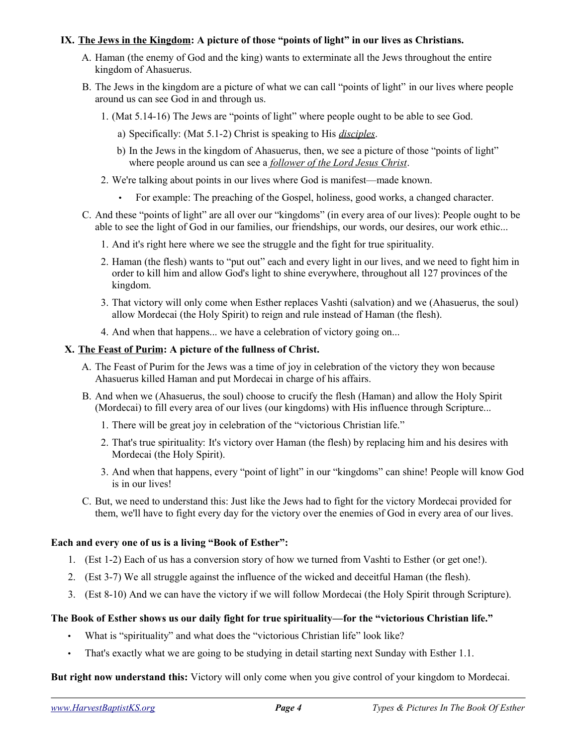# **IX. The Jews in the Kingdom: A picture of those "points of light" in our lives as Christians.**

- A. Haman (the enemy of God and the king) wants to exterminate all the Jews throughout the entire kingdom of Ahasuerus.
- B. The Jews in the kingdom are a picture of what we can call "points of light" in our lives where people around us can see God in and through us.
	- 1. (Mat 5.14-16) The Jews are "points of light" where people ought to be able to see God.
		- a) Specifically: (Mat 5.1-2) Christ is speaking to His *disciples*.
		- b) In the Jews in the kingdom of Ahasuerus, then, we see a picture of those "points of light" where people around us can see a *follower of the Lord Jesus Christ*.
	- 2. We're talking about points in our lives where God is manifest—made known.
		- For example: The preaching of the Gospel, holiness, good works, a changed character.
- C. And these "points of light" are all over our "kingdoms" (in every area of our lives): People ought to be able to see the light of God in our families, our friendships, our words, our desires, our work ethic...
	- 1. And it's right here where we see the struggle and the fight for true spirituality.
	- 2. Haman (the flesh) wants to "put out" each and every light in our lives, and we need to fight him in order to kill him and allow God's light to shine everywhere, throughout all 127 provinces of the kingdom.
	- 3. That victory will only come when Esther replaces Vashti (salvation) and we (Ahasuerus, the soul) allow Mordecai (the Holy Spirit) to reign and rule instead of Haman (the flesh).
	- 4. And when that happens... we have a celebration of victory going on...

# **X. The Feast of Purim: A picture of the fullness of Christ.**

- A. The Feast of Purim for the Jews was a time of joy in celebration of the victory they won because Ahasuerus killed Haman and put Mordecai in charge of his affairs.
- B. And when we (Ahasuerus, the soul) choose to crucify the flesh (Haman) and allow the Holy Spirit (Mordecai) to fill every area of our lives (our kingdoms) with His influence through Scripture...
	- 1. There will be great joy in celebration of the "victorious Christian life."
	- 2. That's true spirituality: It's victory over Haman (the flesh) by replacing him and his desires with Mordecai (the Holy Spirit).
	- 3. And when that happens, every "point of light" in our "kingdoms" can shine! People will know God is in our lives!
- C. But, we need to understand this: Just like the Jews had to fight for the victory Mordecai provided for them, we'll have to fight every day for the victory over the enemies of God in every area of our lives.

#### **Each and every one of us is a living "Book of Esther":**

- 1. (Est 1-2) Each of us has a conversion story of how we turned from Vashti to Esther (or get one!).
- 2. (Est 3-7) We all struggle against the influence of the wicked and deceitful Haman (the flesh).
- 3. (Est 8-10) And we can have the victory if we will follow Mordecai (the Holy Spirit through Scripture).

# **The Book of Esther shows us our daily fight for true spirituality—for the "victorious Christian life."**

- What is "spirituality" and what does the "victorious Christian life" look like?
- That's exactly what we are going to be studying in detail starting next Sunday with Esther 1.1.

**But right now understand this:** Victory will only come when you give control of your kingdom to Mordecai.